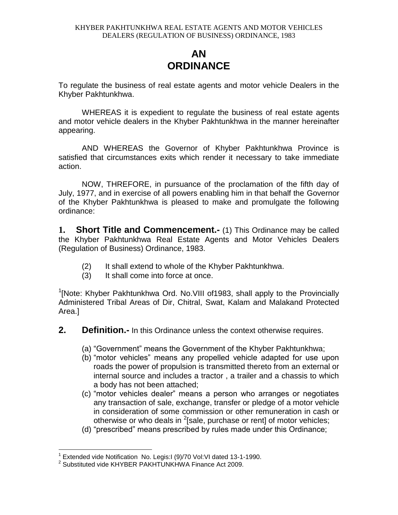# **AN ORDINANCE**

To regulate the business of real estate agents and motor vehicle Dealers in the Khyber Pakhtunkhwa.

WHEREAS it is expedient to regulate the business of real estate agents and motor vehicle dealers in the Khyber Pakhtunkhwa in the manner hereinafter appearing.

AND WHEREAS the Governor of Khyber Pakhtunkhwa Province is satisfied that circumstances exits which render it necessary to take immediate action.

NOW, THREFORE, in pursuance of the proclamation of the fifth day of July, 1977, and in exercise of all powers enabling him in that behalf the Governor of the Khyber Pakhtunkhwa is pleased to make and promulgate the following ordinance:

**1. Short Title and Commencement.-** (1) This Ordinance may be called the Khyber Pakhtunkhwa Real Estate Agents and Motor Vehicles Dealers (Regulation of Business) Ordinance, 1983.

- (2) It shall extend to whole of the Khyber Pakhtunkhwa.
- (3) It shall come into force at once.

<sup>1</sup>[Note: Khyber Pakhtunkhwa Ord. No. VIII of 1983, shall apply to the Provincially Administered Tribal Areas of Dir, Chitral, Swat, Kalam and Malakand Protected Area.]

- **2. Definition.-** In this Ordinance unless the context otherwise requires.
	- (a) "Government" means the Government of the Khyber Pakhtunkhwa;
	- (b) "motor vehicles" means any propelled vehicle adapted for use upon roads the power of propulsion is transmitted thereto from an external or internal source and includes a tractor , a trailer and a chassis to which a body has not been attached;
	- (c) "motor vehicles dealer" means a person who arranges or negotiates any transaction of sale, exchange, transfer or pledge of a motor vehicle in consideration of some commission or other remuneration in cash or otherwise or who deals in  $^2$ [sale, purchase or rent] of motor vehicles;
	- (d) "prescribed" means prescribed by rules made under this Ordinance;

 $\overline{a}$ 

<sup>&</sup>lt;sup>1</sup> Extended vide Notification No. Legis: I (9)/70 Vol: VI dated 13-1-1990.

<sup>&</sup>lt;sup>2</sup> Substituted vide KHYBER PAKHTUNKHWA Finance Act 2009.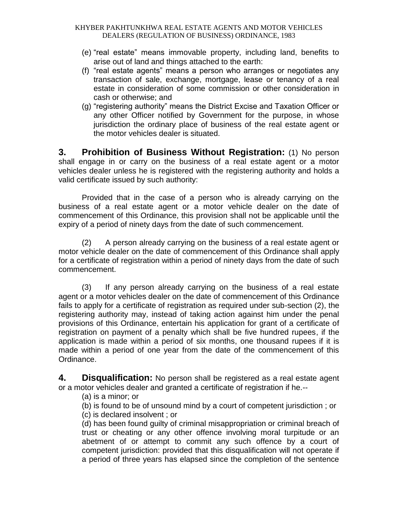- (e) "real estate" means immovable property, including land, benefits to arise out of land and things attached to the earth:
- (f) "real estate agents" means a person who arranges or negotiates any transaction of sale, exchange, mortgage, lease or tenancy of a real estate in consideration of some commission or other consideration in cash or otherwise; and
- (g) "registering authority" means the District Excise and Taxation Officer or any other Officer notified by Government for the purpose, in whose jurisdiction the ordinary place of business of the real estate agent or the motor vehicles dealer is situated.

**3. Prohibition of Business Without Registration:** (1) No person shall engage in or carry on the business of a real estate agent or a motor vehicles dealer unless he is registered with the registering authority and holds a valid certificate issued by such authority:

Provided that in the case of a person who is already carrying on the business of a real estate agent or a motor vehicle dealer on the date of commencement of this Ordinance, this provision shall not be applicable until the expiry of a period of ninety days from the date of such commencement.

(2) A person already carrying on the business of a real estate agent or motor vehicle dealer on the date of commencement of this Ordinance shall apply for a certificate of registration within a period of ninety days from the date of such commencement.

(3) If any person already carrying on the business of a real estate agent or a motor vehicles dealer on the date of commencement of this Ordinance fails to apply for a certificate of registration as required under sub-section (2), the registering authority may, instead of taking action against him under the penal provisions of this Ordinance, entertain his application for grant of a certificate of registration on payment of a penalty which shall be five hundred rupees, if the application is made within a period of six months, one thousand rupees if it is made within a period of one year from the date of the commencement of this Ordinance.

**4. Disqualification:** No person shall be registered as a real estate agent or a motor vehicles dealer and granted a certificate of registration if he.--

(a) is a minor; or

(b) is found to be of unsound mind by a court of competent jurisdiction ; or (c) is declared insolvent ; or

(d) has been found guilty of criminal misappropriation or criminal breach of trust or cheating or any other offence involving moral turpitude or an abetment of or attempt to commit any such offence by a court of competent jurisdiction: provided that this disqualification will not operate if a period of three years has elapsed since the completion of the sentence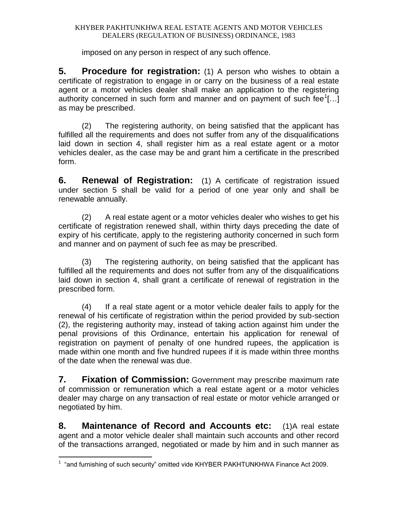imposed on any person in respect of any such offence.

**5. Procedure for registration:** (1) A person who wishes to obtain a certificate of registration to engage in or carry on the business of a real estate agent or a motor vehicles dealer shall make an application to the registering authority concerned in such form and manner and on payment of such fee $[...]$ ...] as may be prescribed.

(2) The registering authority, on being satisfied that the applicant has fulfilled all the requirements and does not suffer from any of the disqualifications laid down in section 4, shall register him as a real estate agent or a motor vehicles dealer, as the case may be and grant him a certificate in the prescribed form.

**6. Renewal of Registration:** (1) A certificate of registration issued under section 5 shall be valid for a period of one year only and shall be renewable annually.

(2) A real estate agent or a motor vehicles dealer who wishes to get his certificate of registration renewed shall, within thirty days preceding the date of expiry of his certificate, apply to the registering authority concerned in such form and manner and on payment of such fee as may be prescribed.

(3) The registering authority, on being satisfied that the applicant has fulfilled all the requirements and does not suffer from any of the disqualifications laid down in section 4, shall grant a certificate of renewal of registration in the prescribed form.

(4) If a real state agent or a motor vehicle dealer fails to apply for the renewal of his certificate of registration within the period provided by sub-section (2), the registering authority may, instead of taking action against him under the penal provisions of this Ordinance, entertain his application for renewal of registration on payment of penalty of one hundred rupees, the application is made within one month and five hundred rupees if it is made within three months of the date when the renewal was due.

**7. Fixation of Commission:** Government may prescribe maximum rate of commission or remuneration which a real estate agent or a motor vehicles dealer may charge on any transaction of real estate or motor vehicle arranged or negotiated by him.

**8. Maintenance of Record and Accounts etc:** (1)A real estate agent and a motor vehicle dealer shall maintain such accounts and other record of the transactions arranged, negotiated or made by him and in such manner as

 1 "and furnishing of such security" omitted vide KHYBER PAKHTUNKHWA Finance Act 2009.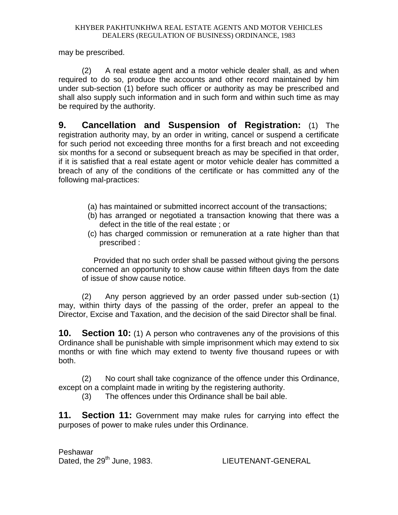may be prescribed.

(2) A real estate agent and a motor vehicle dealer shall, as and when required to do so, produce the accounts and other record maintained by him under sub-section (1) before such officer or authority as may be prescribed and shall also supply such information and in such form and within such time as may be required by the authority.

**9. Cancellation and Suspension of Registration:** (1) The registration authority may, by an order in writing, cancel or suspend a certificate for such period not exceeding three months for a first breach and not exceeding six months for a second or subsequent breach as may be specified in that order, if it is satisfied that a real estate agent or motor vehicle dealer has committed a breach of any of the conditions of the certificate or has committed any of the following mal-practices:

- (a) has maintained or submitted incorrect account of the transactions;
- (b) has arranged or negotiated a transaction knowing that there was a defect in the title of the real estate ; or
- (c) has charged commission or remuneration at a rate higher than that prescribed :

Provided that no such order shall be passed without giving the persons concerned an opportunity to show cause within fifteen days from the date of issue of show cause notice.

(2) Any person aggrieved by an order passed under sub-section (1) may, within thirty days of the passing of the order, prefer an appeal to the Director, Excise and Taxation, and the decision of the said Director shall be final.

**10. Section 10:** (1) A person who contravenes any of the provisions of this Ordinance shall be punishable with simple imprisonment which may extend to six months or with fine which may extend to twenty five thousand rupees or with both.

(2) No court shall take cognizance of the offence under this Ordinance, except on a complaint made in writing by the registering authority.

(3) The offences under this Ordinance shall be bail able.

**11. Section 11:** Government may make rules for carrying into effect the purposes of power to make rules under this Ordinance.

Peshawar Dated, the 29<sup>th</sup> June, 1983. LIEUTENANT-GENERAL